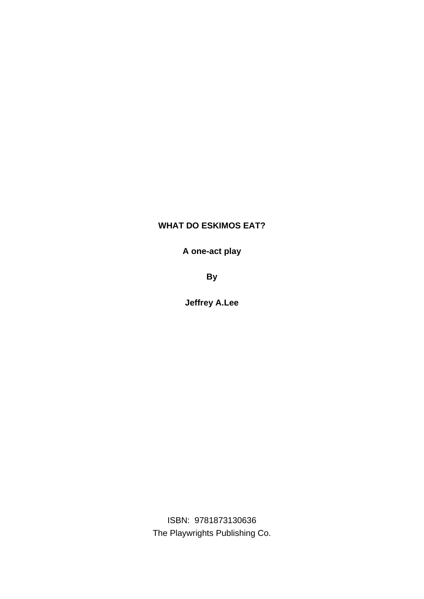## **WHAT DO ESKIMOS EAT?**

**A one-act play**

**By**

**Jeffrey A.Lee**

ISBN: 9781873130636 The Playwrights Publishing Co.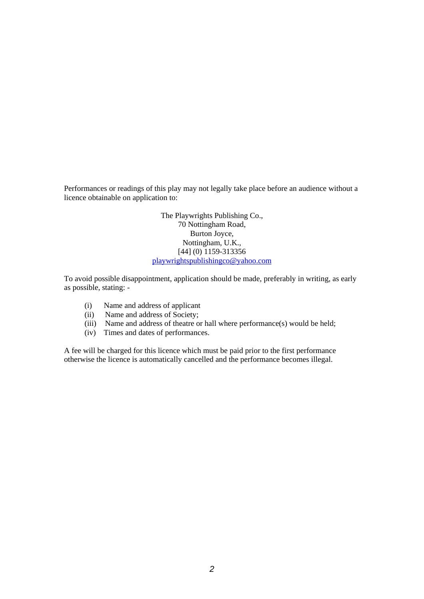Performances or readings of this play may not legally take place before an audience without a licence obtainable on application to:

> The Playwrights Publishing Co., 70 Nottingham Road, Burton Joyce, Nottingham, U.K., [44] (0) 1159-313356 playwrightspublishingco@yahoo.com

To avoid possible disappointment, application should be made, preferably in writing, as early as possible, stating: -

- (i) Name and address of applicant
- (ii) Name and address of Society;
- (iii) Name and address of theatre or hall where performance(s) would be held;
- (iv) Times and dates of performances.

A fee will be charged for this licence which must be paid prior to the first performance otherwise the licence is automatically cancelled and the performance becomes illegal.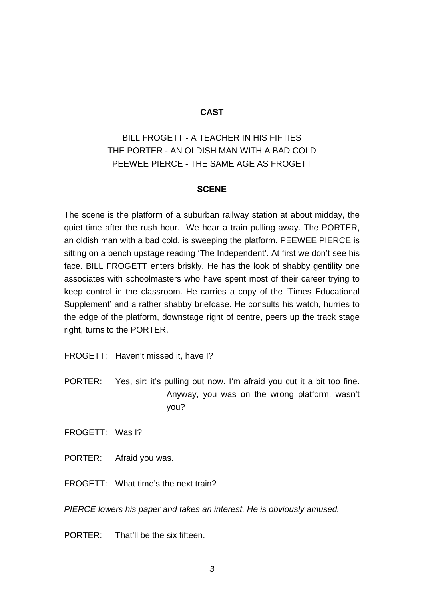## **CAST**

## BILL FROGETT - A TEACHER IN HIS FIFTIES THE PORTER - AN OLDISH MAN WITH A BAD COLD PEEWEE PIERCE - THE SAME AGE AS FROGETT

## **SCENE**

The scene is the platform of a suburban railway station at about midday, the quiet time after the rush hour. We hear a train pulling away. The PORTER, an oldish man with a bad cold, is sweeping the platform. PEEWEE PIERCE is sitting on a bench upstage reading 'The Independent'. At first we don't see his face. BILL FROGETT enters briskly. He has the look of shabby gentility one associates with schoolmasters who have spent most of their career trying to keep control in the classroom. He carries a copy of the 'Times Educational Supplement' and a rather shabby briefcase. He consults his watch, hurries to the edge of the platform, downstage right of centre, peers up the track stage right, turns to the PORTER.

FROGETT: Haven't missed it, have I?

PORTER: Yes, sir: it's pulling out now. I'm afraid you cut it a bit too fine. Anyway, you was on the wrong platform, wasn't you?

FROGETT: Was I?

PORTER: Afraid you was.

FROGETT: What time's the next train?

*PIERCE lowers his paper and takes an interest. He is obviously amused.*

PORTER: That'll be the six fifteen.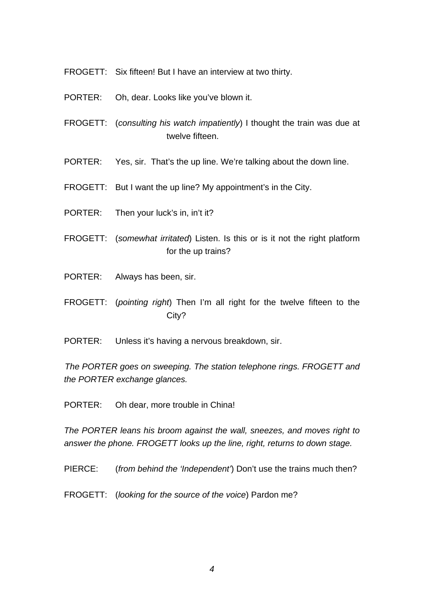- FROGETT: Six fifteen! But I have an interview at two thirty.
- PORTER: Oh, dear. Looks like you've blown it.
- FROGETT: (*consulting his watch impatiently*) I thought the train was due at twelve fifteen.
- PORTER: Yes, sir. That's the up line. We're talking about the down line.
- FROGETT: But I want the up line? My appointment's in the City.
- PORTER: Then your luck's in, in't it?
- FROGETT: (*somewhat irritated*) Listen. Is this or is it not the right platform for the up trains?
- PORTER: Always has been, sir.
- FROGETT: (*pointing right*) Then I'm all right for the twelve fifteen to the City?
- PORTER: Unless it's having a nervous breakdown, sir.

*The PORTER goes on sweeping. The station telephone rings. FROGETT and the PORTER exchange glances.* 

PORTER: Oh dear, more trouble in China!

*The PORTER leans his broom against the wall, sneezes, and moves right to answer the phone. FROGETT looks up the line, right, returns to down stage.* 

PIERCE: (*from behind the 'Independent'*) Don't use the trains much then?

FROGETT: (*looking for the source of the voice*) Pardon me?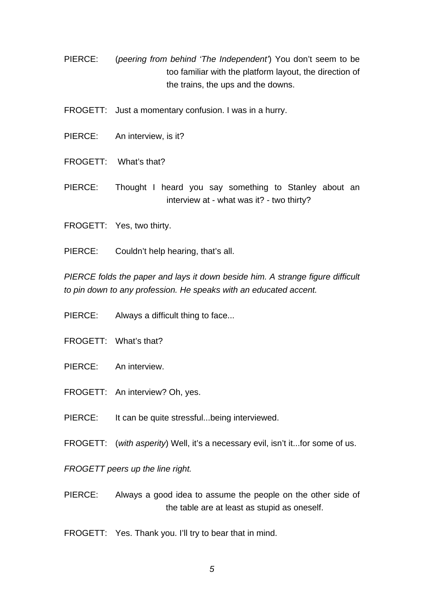- PIERCE: (*peering from behind 'The Independent'*) You don't seem to be too familiar with the platform layout, the direction of the trains, the ups and the downs.
- FROGETT: Just a momentary confusion. I was in a hurry.
- PIERCE: An interview, is it?
- FROGETT: What's that?
- PIERCE: Thought I heard you say something to Stanley about an interview at - what was it? - two thirty?
- FROGETT: Yes, two thirty.
- PIERCE: Couldn't help hearing, that's all.

*PIERCE folds the paper and lays it down beside him. A strange figure difficult to pin down to any profession. He speaks with an educated accent.*

- PIERCE: Always a difficult thing to face...
- FROGETT: What's that?
- PIERCE: An interview.
- FROGETT: An interview? Oh, yes.
- PIERCE: It can be quite stressful...being interviewed.
- FROGETT: (*with asperity*) Well, it's a necessary evil, isn't it...for some of us.

*FROGETT peers up the line right.* 

- PIERCE: Always a good idea to assume the people on the other side of the table are at least as stupid as oneself.
- FROGETT: Yes. Thank you. I'll try to bear that in mind.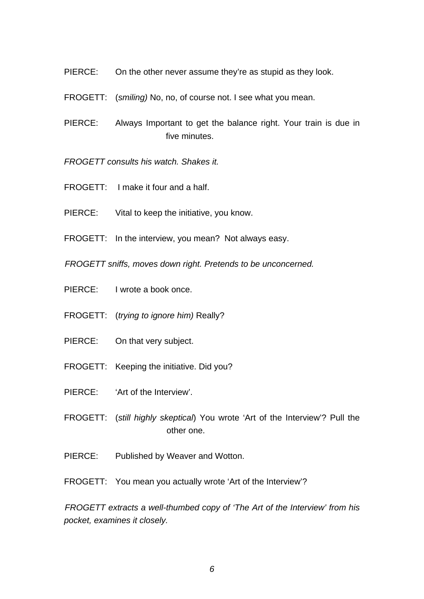- PIERCE: On the other never assume they're as stupid as they look.
- FROGETT: (*smiling)* No, no, of course not. I see what you mean.
- PIERCE: Always Important to get the balance right. Your train is due in five minutes.

*FROGETT consults his watch. Shakes it.*

- FROGETT: I make it four and a half.
- PIERCE: Vital to keep the initiative, you know.
- FROGETT: In the interview, you mean? Not always easy.

*FROGETT sniffs, moves down right. Pretends to be unconcerned.*

- PIERCE: I wrote a book once.
- FROGETT: (*trying to ignore him)* Really?
- PIERCE: On that very subject.
- FROGETT: Keeping the initiative. Did you?
- PIERCE: 'Art of the Interview'.
- FROGETT: (*still highly skeptical*) You wrote 'Art of the Interview'? Pull the other one.
- PIERCE: Published by Weaver and Wotton.
- FROGETT: You mean you actually wrote 'Art of the Interview'?

*FROGETT extracts a well-thumbed copy of 'The Art of the Interview' from his pocket, examines it closely.*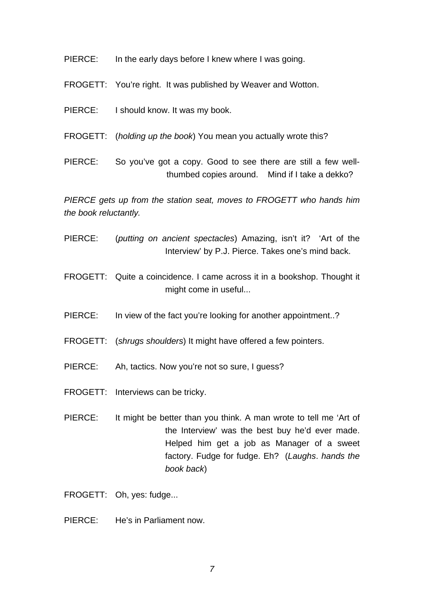- PIERCE: In the early days before I knew where I was going.
- FROGETT: You're right. It was published by Weaver and Wotton.
- PIERCE: I should know. It was my book.
- FROGETT: (*holding up the book*) You mean you actually wrote this?
- PIERCE: So you've got a copy. Good to see there are still a few wellthumbed copies around. Mind if I take a dekko?

*PIERCE gets up from the station seat, moves to FROGETT who hands him the book reluctantly.*

- PIERCE: (*putting on ancient spectacles*) Amazing, isn't it? 'Art of the Interview' by P.J. Pierce. Takes one's mind back.
- FROGETT: Quite a coincidence. I came across it in a bookshop. Thought it might come in useful...
- PIERCE: In view of the fact you're looking for another appointment..?
- FROGETT: (*shrugs shoulders*) It might have offered a few pointers.
- PIERCE: Ah, tactics. Now you're not so sure, I guess?
- FROGETT: Interviews can be tricky.
- PIERCE: It might be better than you think. A man wrote to tell me 'Art of the Interview' was the best buy he'd ever made. Helped him get a job as Manager of a sweet factory. Fudge for fudge. Eh? (*Laughs*. *hands the book back*)
- FROGETT: Oh, yes: fudge...
- PIERCE: He's in Parliament now.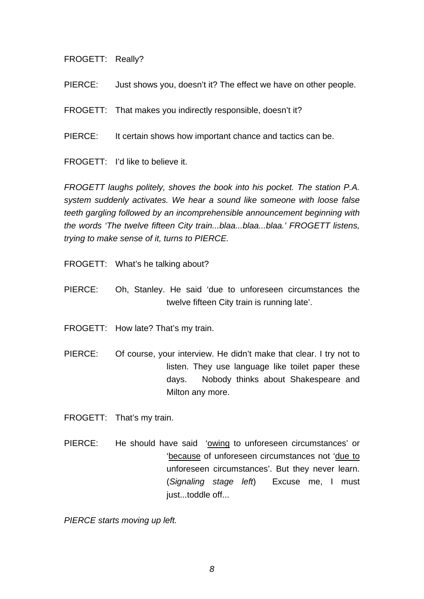FROGETT: Really?

PIERCE: Just shows you, doesn't it? The effect we have on other people.

FROGETT: That makes you indirectly responsible, doesn't it?

PIERCE: It certain shows how important chance and tactics can be.

FROGETT: I'd like to believe it.

*FROGETT laughs politely, shoves the book into his pocket. The station P.A. system suddenly activates. We hear a sound like someone with loose false teeth gargling followed by an incomprehensible announcement beginning with the words 'The twelve fifteen City train...blaa...blaa...blaa.' FROGETT listens, trying to make sense of it, turns to PIERCE.*

FROGETT: What's he talking about?

- PIERCE: Oh, Stanley. He said 'due to unforeseen circumstances the twelve fifteen City train is running late'.
- FROGETT: How late? That's my train.
- PIERCE: Of course, your interview. He didn't make that clear. I try not to listen. They use language like toilet paper these days. Nobody thinks about Shakespeare and Milton any more.

FROGETT: That's my train.

PIERCE: He should have said 'owing to unforeseen circumstances' or 'because of unforeseen circumstances not 'due to unforeseen circumstances'. But they never learn. (*Signaling stage left*) Excuse me, I must just...toddle off...

*PIERCE starts moving up left.*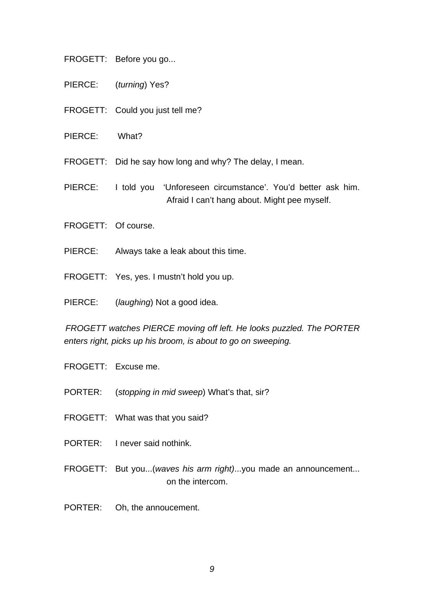- FROGETT: Before you go...
- PIERCE: (*turning*) Yes?
- FROGETT: Could you just tell me?
- PIERCE: What?

FROGETT: Did he say how long and why? The delay, I mean.

PIERCE: I told you 'Unforeseen circumstance'. You'd better ask him. Afraid I can't hang about. Might pee myself.

- FROGETT: Of course.
- PIERCE: Always take a leak about this time.
- FROGETT: Yes, yes. I mustn't hold you up.
- PIERCE: (*laughing*) Not a good idea.

*FROGETT watches PIERCE moving off left. He looks puzzled. The PORTER enters right, picks up his broom, is about to go on sweeping.*

- FROGETT: Excuse me.
- PORTER: (*stopping in mid sweep*) What's that, sir?
- FROGETT: What was that you said?
- PORTER: I never said nothink.
- FROGETT: But you...(*waves his arm right)*...you made an announcement... on the intercom.
- PORTER: Oh, the annoucement.